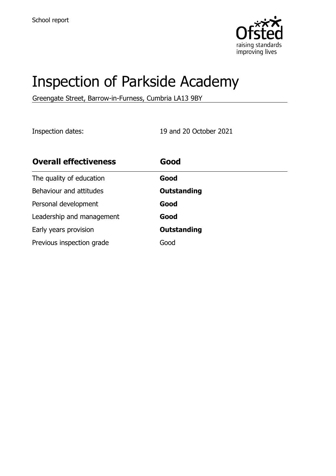

# Inspection of Parkside Academy

Greengate Street, Barrow-in-Furness, Cumbria LA13 9BY

Inspection dates: 19 and 20 October 2021

| <b>Overall effectiveness</b> | Good               |
|------------------------------|--------------------|
| The quality of education     | Good               |
| Behaviour and attitudes      | <b>Outstanding</b> |
| Personal development         | Good               |
| Leadership and management    | Good               |
| Early years provision        | <b>Outstanding</b> |
| Previous inspection grade    | Good               |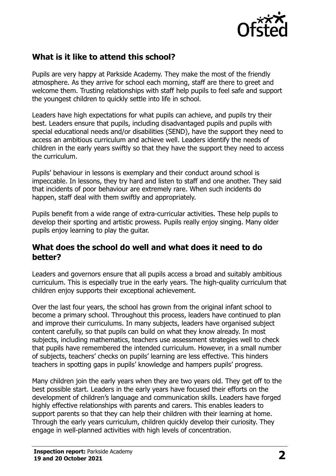

# **What is it like to attend this school?**

Pupils are very happy at Parkside Academy. They make the most of the friendly atmosphere. As they arrive for school each morning, staff are there to greet and welcome them. Trusting relationships with staff help pupils to feel safe and support the youngest children to quickly settle into life in school.

Leaders have high expectations for what pupils can achieve, and pupils try their best. Leaders ensure that pupils, including disadvantaged pupils and pupils with special educational needs and/or disabilities (SEND), have the support they need to access an ambitious curriculum and achieve well. Leaders identify the needs of children in the early years swiftly so that they have the support they need to access the curriculum.

Pupils' behaviour in lessons is exemplary and their conduct around school is impeccable. In lessons, they try hard and listen to staff and one another. They said that incidents of poor behaviour are extremely rare. When such incidents do happen, staff deal with them swiftly and appropriately.

Pupils benefit from a wide range of extra-curricular activities. These help pupils to develop their sporting and artistic prowess. Pupils really enjoy singing. Many older pupils enjoy learning to play the guitar.

#### **What does the school do well and what does it need to do better?**

Leaders and governors ensure that all pupils access a broad and suitably ambitious curriculum. This is especially true in the early years. The high-quality curriculum that children enjoy supports their exceptional achievement.

Over the last four years, the school has grown from the original infant school to become a primary school. Throughout this process, leaders have continued to plan and improve their curriculums. In many subjects, leaders have organised subject content carefully, so that pupils can build on what they know already. In most subjects, including mathematics, teachers use assessment strategies well to check that pupils have remembered the intended curriculum. However, in a small number of subjects, teachers' checks on pupils' learning are less effective. This hinders teachers in spotting gaps in pupils' knowledge and hampers pupils' progress.

Many children join the early years when they are two years old. They get off to the best possible start. Leaders in the early years have focused their efforts on the development of children's language and communication skills. Leaders have forged highly effective relationships with parents and carers. This enables leaders to support parents so that they can help their children with their learning at home. Through the early years curriculum, children quickly develop their curiosity. They engage in well-planned activities with high levels of concentration.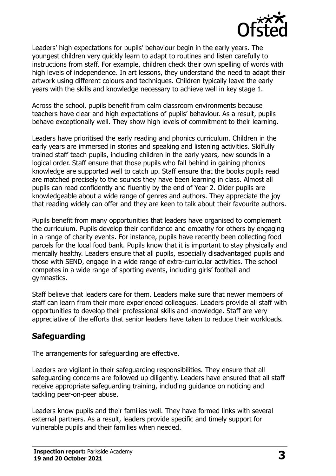

Leaders' high expectations for pupils' behaviour begin in the early years. The youngest children very quickly learn to adapt to routines and listen carefully to instructions from staff. For example, children check their own spelling of words with high levels of independence. In art lessons, they understand the need to adapt their artwork using different colours and techniques. Children typically leave the early years with the skills and knowledge necessary to achieve well in key stage 1.

Across the school, pupils benefit from calm classroom environments because teachers have clear and high expectations of pupils' behaviour. As a result, pupils behave exceptionally well. They show high levels of commitment to their learning.

Leaders have prioritised the early reading and phonics curriculum. Children in the early years are immersed in stories and speaking and listening activities. Skilfully trained staff teach pupils, including children in the early years, new sounds in a logical order. Staff ensure that those pupils who fall behind in gaining phonics knowledge are supported well to catch up. Staff ensure that the books pupils read are matched precisely to the sounds they have been learning in class. Almost all pupils can read confidently and fluently by the end of Year 2. Older pupils are knowledgeable about a wide range of genres and authors. They appreciate the joy that reading widely can offer and they are keen to talk about their favourite authors.

Pupils benefit from many opportunities that leaders have organised to complement the curriculum. Pupils develop their confidence and empathy for others by engaging in a range of charity events. For instance, pupils have recently been collecting food parcels for the local food bank. Pupils know that it is important to stay physically and mentally healthy. Leaders ensure that all pupils, especially disadvantaged pupils and those with SEND, engage in a wide range of extra-curricular activities. The school competes in a wide range of sporting events, including girls' football and gymnastics.

Staff believe that leaders care for them. Leaders make sure that newer members of staff can learn from their more experienced colleagues. Leaders provide all staff with opportunities to develop their professional skills and knowledge. Staff are very appreciative of the efforts that senior leaders have taken to reduce their workloads.

## **Safeguarding**

The arrangements for safeguarding are effective.

Leaders are vigilant in their safeguarding responsibilities. They ensure that all safeguarding concerns are followed up diligently. Leaders have ensured that all staff receive appropriate safeguarding training, including guidance on noticing and tackling peer-on-peer abuse.

Leaders know pupils and their families well. They have formed links with several external partners. As a result, leaders provide specific and timely support for vulnerable pupils and their families when needed.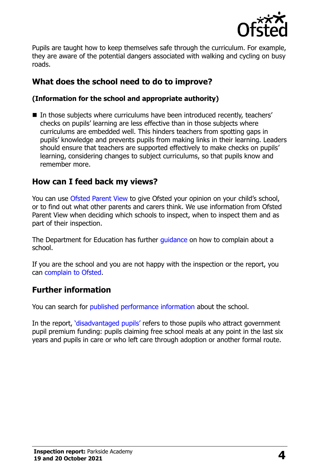

Pupils are taught how to keep themselves safe through the curriculum. For example, they are aware of the potential dangers associated with walking and cycling on busy roads.

# **What does the school need to do to improve?**

#### **(Information for the school and appropriate authority)**

In those subjects where curriculums have been introduced recently, teachers' checks on pupils' learning are less effective than in those subjects where curriculums are embedded well. This hinders teachers from spotting gaps in pupils' knowledge and prevents pupils from making links in their learning. Leaders should ensure that teachers are supported effectively to make checks on pupils' learning, considering changes to subject curriculums, so that pupils know and remember more.

## **How can I feed back my views?**

You can use [Ofsted Parent View](http://parentview.ofsted.gov.uk/) to give Ofsted your opinion on your child's school, or to find out what other parents and carers think. We use information from Ofsted Parent View when deciding which schools to inspect, when to inspect them and as part of their inspection.

The Department for Education has further *quidance* on how to complain about a school.

If you are the school and you are not happy with the inspection or the report, you can [complain to Ofsted.](http://www.gov.uk/complain-ofsted-report)

## **Further information**

You can search for [published performance information](http://www.compare-school-performance.service.gov.uk/) about the school.

In the report, '[disadvantaged pupils](http://www.gov.uk/guidance/pupil-premium-information-for-schools-and-alternative-provision-settings)' refers to those pupils who attract government pupil premium funding: pupils claiming free school meals at any point in the last six years and pupils in care or who left care through adoption or another formal route.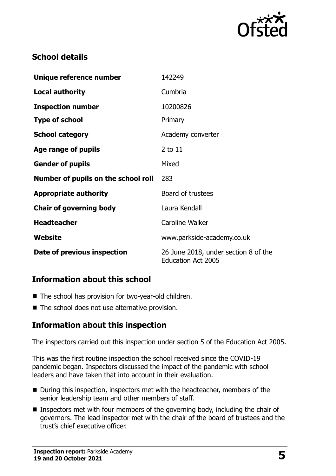

# **School details**

| Unique reference number             | 142249                                                            |  |
|-------------------------------------|-------------------------------------------------------------------|--|
| <b>Local authority</b>              | Cumbria                                                           |  |
| <b>Inspection number</b>            | 10200826                                                          |  |
| <b>Type of school</b>               | Primary                                                           |  |
| <b>School category</b>              | Academy converter                                                 |  |
| Age range of pupils                 | $2$ to $11$                                                       |  |
| <b>Gender of pupils</b>             | Mixed                                                             |  |
| Number of pupils on the school roll | 283                                                               |  |
| <b>Appropriate authority</b>        | Board of trustees                                                 |  |
| <b>Chair of governing body</b>      | Laura Kendall                                                     |  |
| <b>Headteacher</b>                  | Caroline Walker                                                   |  |
| <b>Website</b>                      | www.parkside-academy.co.uk                                        |  |
| Date of previous inspection         | 26 June 2018, under section 8 of the<br><b>Education Act 2005</b> |  |

#### **Information about this school**

- The school has provision for two-year-old children.
- $\blacksquare$  The school does not use alternative provision.

## **Information about this inspection**

The inspectors carried out this inspection under section 5 of the Education Act 2005.

This was the first routine inspection the school received since the COVID-19 pandemic began. Inspectors discussed the impact of the pandemic with school leaders and have taken that into account in their evaluation.

- During this inspection, inspectors met with the headteacher, members of the senior leadership team and other members of staff.
- Inspectors met with four members of the governing body, including the chair of governors. The lead inspector met with the chair of the board of trustees and the trust's chief executive officer.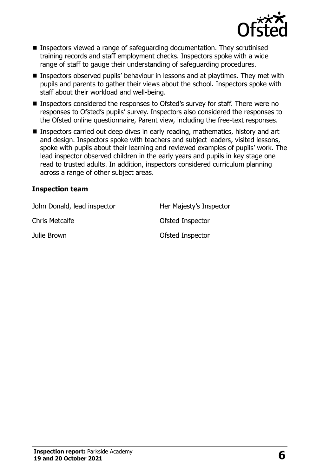

- Inspectors viewed a range of safeguarding documentation. They scrutinised training records and staff employment checks. Inspectors spoke with a wide range of staff to gauge their understanding of safeguarding procedures.
- Inspectors observed pupils' behaviour in lessons and at playtimes. They met with pupils and parents to gather their views about the school. Inspectors spoke with staff about their workload and well-being.
- Inspectors considered the responses to Ofsted's survey for staff. There were no responses to Ofsted's pupils' survey. Inspectors also considered the responses to the Ofsted online questionnaire, Parent view, including the free-text responses.
- Inspectors carried out deep dives in early reading, mathematics, history and art and design. Inspectors spoke with teachers and subject leaders, visited lessons, spoke with pupils about their learning and reviewed examples of pupils' work. The lead inspector observed children in the early years and pupils in key stage one read to trusted adults. In addition, inspectors considered curriculum planning across a range of other subject areas.

#### **Inspection team**

| John Donald, lead inspector | Her Majesty's Inspector |
|-----------------------------|-------------------------|
| <b>Chris Metcalfe</b>       | Ofsted Inspector        |
| Julie Brown                 | Ofsted Inspector        |